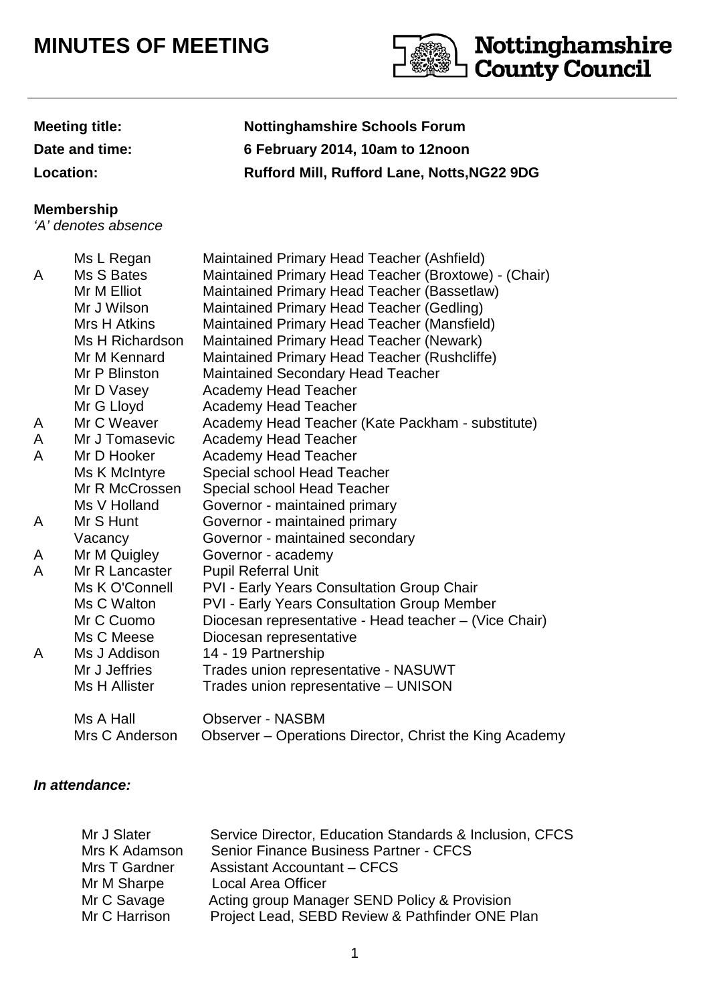# **MINUTES OF MEETING**



## **Meeting title: Nottinghamshire Schools Forum Date and time: 6 February 2014, 10am to 12noon Location: Rufford Mill, Rufford Lane, Notts,NG22 9DG**

#### **Membership**

'A' denotes absence

|   | Ms L Regan      | Maintained Primary Head Teacher (Ashfield)            |  |  |  |
|---|-----------------|-------------------------------------------------------|--|--|--|
| A | Ms S Bates      | Maintained Primary Head Teacher (Broxtowe) - (Chair)  |  |  |  |
|   | Mr M Elliot     | Maintained Primary Head Teacher (Bassetlaw)           |  |  |  |
|   | Mr J Wilson     | Maintained Primary Head Teacher (Gedling)             |  |  |  |
|   | Mrs H Atkins    | Maintained Primary Head Teacher (Mansfield)           |  |  |  |
|   | Ms H Richardson | Maintained Primary Head Teacher (Newark)              |  |  |  |
|   | Mr M Kennard    | Maintained Primary Head Teacher (Rushcliffe)          |  |  |  |
|   | Mr P Blinston   | <b>Maintained Secondary Head Teacher</b>              |  |  |  |
|   | Mr D Vasey      | <b>Academy Head Teacher</b>                           |  |  |  |
|   | Mr G Lloyd      | Academy Head Teacher                                  |  |  |  |
| A | Mr C Weaver     | Academy Head Teacher (Kate Packham - substitute)      |  |  |  |
| A | Mr J Tomasevic  | <b>Academy Head Teacher</b>                           |  |  |  |
| A | Mr D Hooker     | Academy Head Teacher                                  |  |  |  |
|   | Ms K McIntyre   | Special school Head Teacher                           |  |  |  |
|   | Mr R McCrossen  | Special school Head Teacher                           |  |  |  |
|   | Ms V Holland    | Governor - maintained primary                         |  |  |  |
| A | Mr S Hunt       | Governor - maintained primary                         |  |  |  |
|   | Vacancy         | Governor - maintained secondary                       |  |  |  |
| A | Mr M Quigley    | Governor - academy                                    |  |  |  |
| A | Mr R Lancaster  | <b>Pupil Referral Unit</b>                            |  |  |  |
|   | Ms K O'Connell  | <b>PVI - Early Years Consultation Group Chair</b>     |  |  |  |
|   | Ms C Walton     | <b>PVI - Early Years Consultation Group Member</b>    |  |  |  |
|   | Mr C Cuomo      | Diocesan representative - Head teacher - (Vice Chair) |  |  |  |
|   | Ms C Meese      | Diocesan representative                               |  |  |  |
| A | Ms J Addison    | 14 - 19 Partnership                                   |  |  |  |
|   | Mr J Jeffries   | Trades union representative - NASUWT                  |  |  |  |
|   | Ms H Allister   | Trades union representative - UNISON                  |  |  |  |
|   | Ms A Hall       | <b>Observer - NASBM</b>                               |  |  |  |

## **In attendance:**

| Mr J Slater   | Service Director, Education Standards & Inclusion, CFCS |
|---------------|---------------------------------------------------------|
| Mrs K Adamson | <b>Senior Finance Business Partner - CFCS</b>           |
| Mrs T Gardner | <b>Assistant Accountant – CFCS</b>                      |
| Mr M Sharpe   | <b>Local Area Officer</b>                               |
| Mr C Savage   | Acting group Manager SEND Policy & Provision            |
| Mr C Harrison | Project Lead, SEBD Review & Pathfinder ONE Plan         |

Mrs C Anderson Observer – Operations Director, Christ the King Academy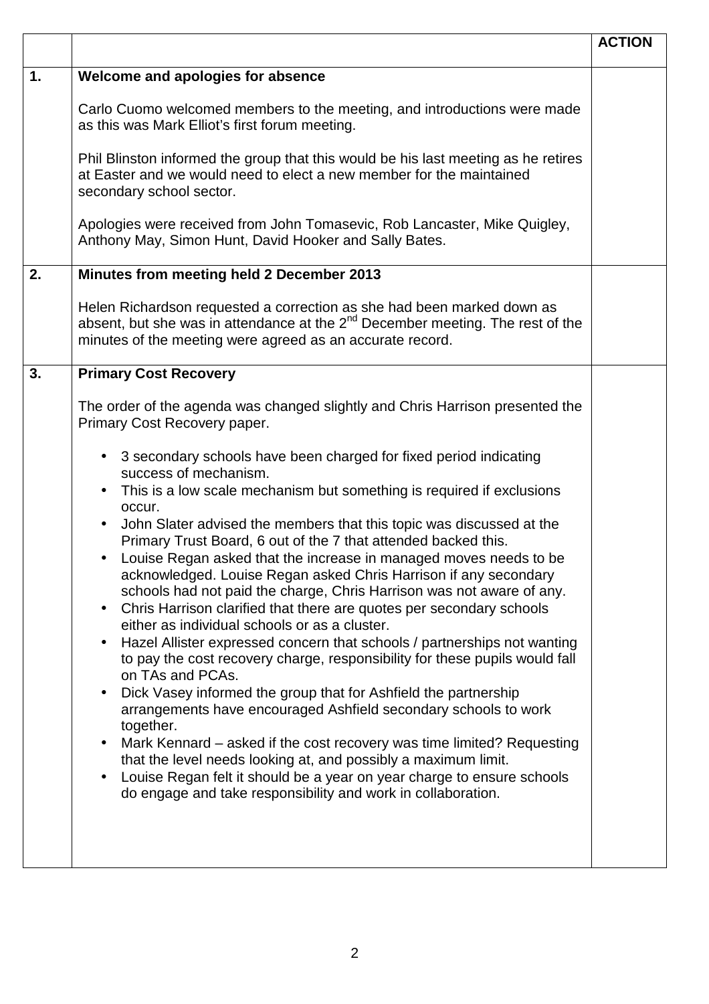|    | <b>ACTION</b>                                                                                                                                                                                                                                                                                       |  |  |  |  |
|----|-----------------------------------------------------------------------------------------------------------------------------------------------------------------------------------------------------------------------------------------------------------------------------------------------------|--|--|--|--|
| 1. | Welcome and apologies for absence                                                                                                                                                                                                                                                                   |  |  |  |  |
|    | Carlo Cuomo welcomed members to the meeting, and introductions were made<br>as this was Mark Elliot's first forum meeting.                                                                                                                                                                          |  |  |  |  |
|    | Phil Blinston informed the group that this would be his last meeting as he retires<br>at Easter and we would need to elect a new member for the maintained<br>secondary school sector.                                                                                                              |  |  |  |  |
|    | Apologies were received from John Tomasevic, Rob Lancaster, Mike Quigley,<br>Anthony May, Simon Hunt, David Hooker and Sally Bates.                                                                                                                                                                 |  |  |  |  |
| 2. | Minutes from meeting held 2 December 2013                                                                                                                                                                                                                                                           |  |  |  |  |
|    | Helen Richardson requested a correction as she had been marked down as<br>absent, but she was in attendance at the $2^{nd}$ December meeting. The rest of the<br>minutes of the meeting were agreed as an accurate record.                                                                          |  |  |  |  |
| 3. | <b>Primary Cost Recovery</b>                                                                                                                                                                                                                                                                        |  |  |  |  |
|    | The order of the agenda was changed slightly and Chris Harrison presented the<br>Primary Cost Recovery paper.                                                                                                                                                                                       |  |  |  |  |
|    | 3 secondary schools have been charged for fixed period indicating<br>$\bullet$<br>success of mechanism.<br>This is a low scale mechanism but something is required if exclusions<br>$\bullet$<br>occur.                                                                                             |  |  |  |  |
|    | John Slater advised the members that this topic was discussed at the<br>$\bullet$<br>Primary Trust Board, 6 out of the 7 that attended backed this.                                                                                                                                                 |  |  |  |  |
|    | Louise Regan asked that the increase in managed moves needs to be<br>$\bullet$<br>acknowledged. Louise Regan asked Chris Harrison if any secondary<br>schools had not paid the charge, Chris Harrison was not aware of any.<br>Chris Harrison clarified that there are quotes per secondary schools |  |  |  |  |
|    | $\bullet$<br>either as individual schools or as a cluster.                                                                                                                                                                                                                                          |  |  |  |  |
|    | Hazel Allister expressed concern that schools / partnerships not wanting<br>$\bullet$<br>to pay the cost recovery charge, responsibility for these pupils would fall<br>on TAs and PCAs.                                                                                                            |  |  |  |  |
|    | Dick Vasey informed the group that for Ashfield the partnership<br>$\bullet$<br>arrangements have encouraged Ashfield secondary schools to work<br>together.                                                                                                                                        |  |  |  |  |
|    | Mark Kennard - asked if the cost recovery was time limited? Requesting<br>$\bullet$<br>that the level needs looking at, and possibly a maximum limit.<br>Louise Regan felt it should be a year on year charge to ensure schools<br>$\bullet$                                                        |  |  |  |  |
|    | do engage and take responsibility and work in collaboration.                                                                                                                                                                                                                                        |  |  |  |  |
|    |                                                                                                                                                                                                                                                                                                     |  |  |  |  |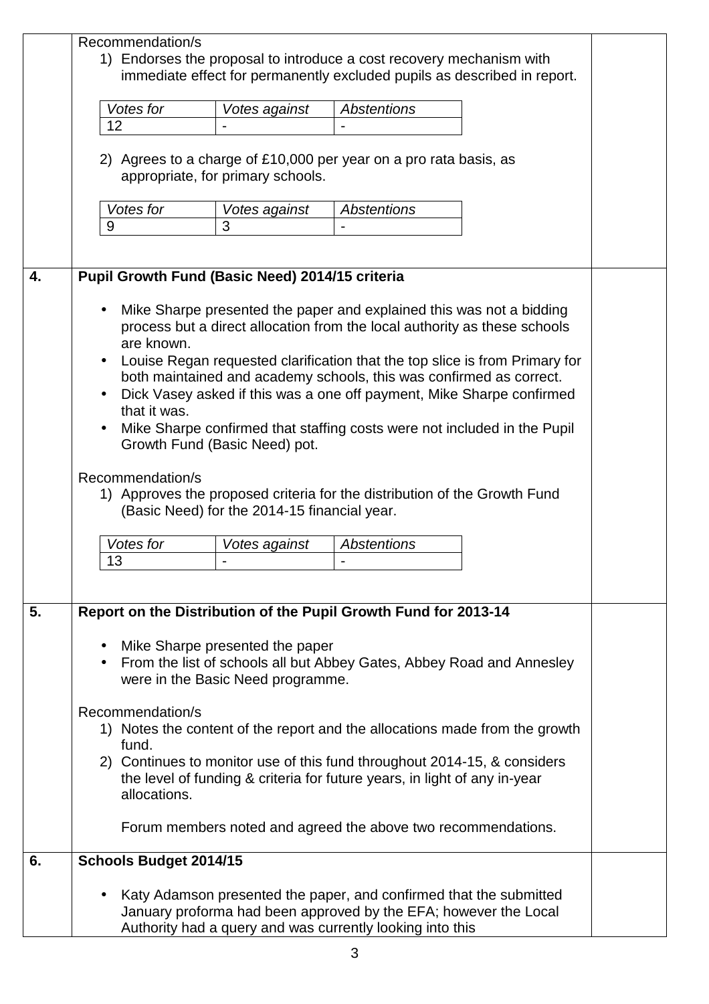|    | Recommendation/s                                                                                                                       |                                              |                                                                                                                                                    |  |  |
|----|----------------------------------------------------------------------------------------------------------------------------------------|----------------------------------------------|----------------------------------------------------------------------------------------------------------------------------------------------------|--|--|
|    | 1) Endorses the proposal to introduce a cost recovery mechanism with                                                                   |                                              |                                                                                                                                                    |  |  |
|    | immediate effect for permanently excluded pupils as described in report.                                                               |                                              |                                                                                                                                                    |  |  |
|    |                                                                                                                                        |                                              |                                                                                                                                                    |  |  |
|    | Votes for                                                                                                                              | Votes against                                | <b>Abstentions</b>                                                                                                                                 |  |  |
|    | 12                                                                                                                                     |                                              |                                                                                                                                                    |  |  |
|    |                                                                                                                                        |                                              |                                                                                                                                                    |  |  |
|    | 2) Agrees to a charge of £10,000 per year on a pro rata basis, as<br>appropriate, for primary schools.                                 |                                              |                                                                                                                                                    |  |  |
|    |                                                                                                                                        |                                              |                                                                                                                                                    |  |  |
|    | Votes for                                                                                                                              | Votes against                                | <b>Abstentions</b>                                                                                                                                 |  |  |
|    | 9                                                                                                                                      | 3                                            |                                                                                                                                                    |  |  |
|    |                                                                                                                                        |                                              |                                                                                                                                                    |  |  |
|    |                                                                                                                                        |                                              |                                                                                                                                                    |  |  |
| 4. | Pupil Growth Fund (Basic Need) 2014/15 criteria                                                                                        |                                              |                                                                                                                                                    |  |  |
|    |                                                                                                                                        |                                              |                                                                                                                                                    |  |  |
|    |                                                                                                                                        |                                              | Mike Sharpe presented the paper and explained this was not a bidding                                                                               |  |  |
|    |                                                                                                                                        |                                              | process but a direct allocation from the local authority as these schools                                                                          |  |  |
|    | are known.                                                                                                                             |                                              |                                                                                                                                                    |  |  |
|    |                                                                                                                                        |                                              | Louise Regan requested clarification that the top slice is from Primary for<br>both maintained and academy schools, this was confirmed as correct. |  |  |
|    |                                                                                                                                        |                                              | Dick Vasey asked if this was a one off payment, Mike Sharpe confirmed                                                                              |  |  |
|    | that it was.                                                                                                                           |                                              |                                                                                                                                                    |  |  |
|    |                                                                                                                                        |                                              | Mike Sharpe confirmed that staffing costs were not included in the Pupil                                                                           |  |  |
|    |                                                                                                                                        | Growth Fund (Basic Need) pot.                |                                                                                                                                                    |  |  |
|    |                                                                                                                                        |                                              |                                                                                                                                                    |  |  |
|    | Recommendation/s                                                                                                                       |                                              |                                                                                                                                                    |  |  |
|    |                                                                                                                                        |                                              | 1) Approves the proposed criteria for the distribution of the Growth Fund                                                                          |  |  |
|    |                                                                                                                                        | (Basic Need) for the 2014-15 financial year. |                                                                                                                                                    |  |  |
|    | Votes for                                                                                                                              | Votes against                                | <b>Abstentions</b>                                                                                                                                 |  |  |
|    | 13                                                                                                                                     |                                              |                                                                                                                                                    |  |  |
|    |                                                                                                                                        |                                              |                                                                                                                                                    |  |  |
|    |                                                                                                                                        |                                              |                                                                                                                                                    |  |  |
| 5. | Report on the Distribution of the Pupil Growth Fund for 2013-14                                                                        |                                              |                                                                                                                                                    |  |  |
|    |                                                                                                                                        |                                              |                                                                                                                                                    |  |  |
|    |                                                                                                                                        | Mike Sharpe presented the paper              |                                                                                                                                                    |  |  |
|    | $\bullet$                                                                                                                              |                                              | From the list of schools all but Abbey Gates, Abbey Road and Annesley                                                                              |  |  |
|    |                                                                                                                                        | were in the Basic Need programme.            |                                                                                                                                                    |  |  |
|    |                                                                                                                                        |                                              |                                                                                                                                                    |  |  |
|    | Recommendation/s                                                                                                                       |                                              | 1) Notes the content of the report and the allocations made from the growth                                                                        |  |  |
|    | fund.                                                                                                                                  |                                              |                                                                                                                                                    |  |  |
|    |                                                                                                                                        |                                              | 2) Continues to monitor use of this fund throughout 2014-15, & considers                                                                           |  |  |
|    |                                                                                                                                        |                                              | the level of funding & criteria for future years, in light of any in-year                                                                          |  |  |
|    | allocations.                                                                                                                           |                                              |                                                                                                                                                    |  |  |
|    |                                                                                                                                        |                                              |                                                                                                                                                    |  |  |
|    |                                                                                                                                        |                                              | Forum members noted and agreed the above two recommendations.                                                                                      |  |  |
|    |                                                                                                                                        |                                              |                                                                                                                                                    |  |  |
| 6. | Schools Budget 2014/15                                                                                                                 |                                              |                                                                                                                                                    |  |  |
|    |                                                                                                                                        |                                              |                                                                                                                                                    |  |  |
|    | Katy Adamson presented the paper, and confirmed that the submitted<br>January proforma had been approved by the EFA; however the Local |                                              |                                                                                                                                                    |  |  |
|    |                                                                                                                                        |                                              |                                                                                                                                                    |  |  |
|    | Authority had a query and was currently looking into this                                                                              |                                              |                                                                                                                                                    |  |  |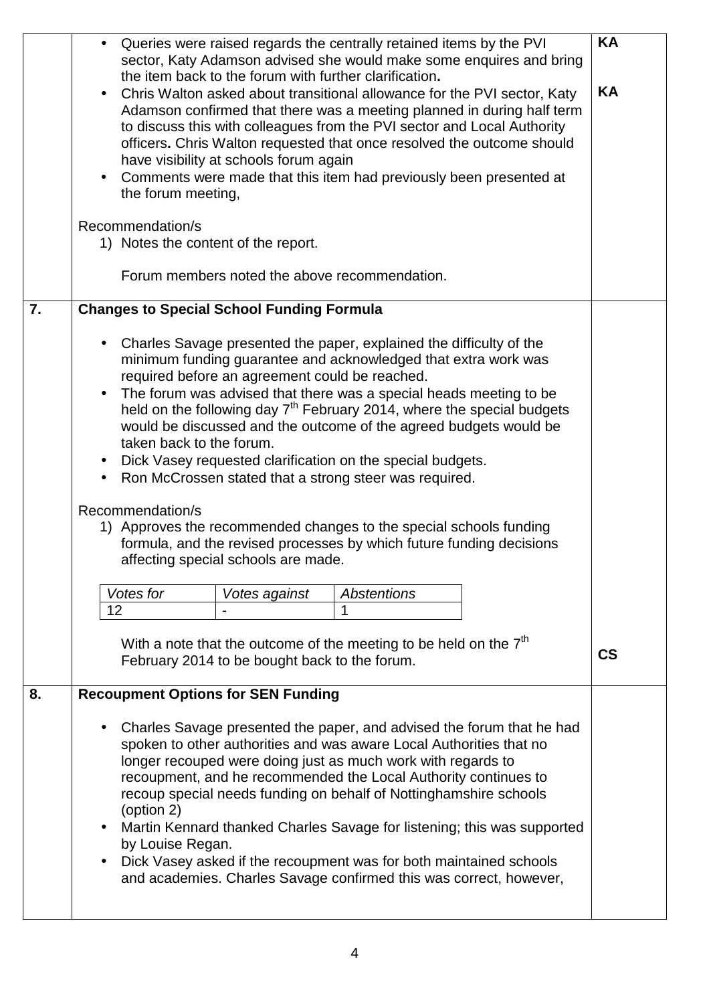|    | Queries were raised regards the centrally retained items by the PVI<br>$\bullet$<br>sector, Katy Adamson advised she would make some enquires and bring<br>the item back to the forum with further clarification.<br>Chris Walton asked about transitional allowance for the PVI sector, Katy<br>$\bullet$<br>Adamson confirmed that there was a meeting planned in during half term<br>to discuss this with colleagues from the PVI sector and Local Authority<br>officers. Chris Walton requested that once resolved the outcome should<br>have visibility at schools forum again<br>Comments were made that this item had previously been presented at<br>$\bullet$<br>the forum meeting,<br>Recommendation/s<br>1) Notes the content of the report.<br>Forum members noted the above recommendation.  |               |                    |  | KA<br>KA |
|----|-----------------------------------------------------------------------------------------------------------------------------------------------------------------------------------------------------------------------------------------------------------------------------------------------------------------------------------------------------------------------------------------------------------------------------------------------------------------------------------------------------------------------------------------------------------------------------------------------------------------------------------------------------------------------------------------------------------------------------------------------------------------------------------------------------------|---------------|--------------------|--|----------|
| 7. | <b>Changes to Special School Funding Formula</b>                                                                                                                                                                                                                                                                                                                                                                                                                                                                                                                                                                                                                                                                                                                                                          |               |                    |  |          |
|    | Charles Savage presented the paper, explained the difficulty of the<br>$\bullet$<br>minimum funding guarantee and acknowledged that extra work was<br>required before an agreement could be reached.<br>• The forum was advised that there was a special heads meeting to be<br>held on the following day $7th$ February 2014, where the special budgets<br>would be discussed and the outcome of the agreed budgets would be<br>taken back to the forum.<br>• Dick Vasey requested clarification on the special budgets.<br>Ron McCrossen stated that a strong steer was required.<br>$\bullet$<br>Recommendation/s<br>1) Approves the recommended changes to the special schools funding<br>formula, and the revised processes by which future funding decisions<br>affecting special schools are made. |               |                    |  |          |
|    | Votes for                                                                                                                                                                                                                                                                                                                                                                                                                                                                                                                                                                                                                                                                                                                                                                                                 | Votes against | <b>Abstentions</b> |  |          |
|    | 12                                                                                                                                                                                                                                                                                                                                                                                                                                                                                                                                                                                                                                                                                                                                                                                                        |               | 1                  |  |          |
|    | With a note that the outcome of the meeting to be held on the $7th$<br>February 2014 to be bought back to the forum.                                                                                                                                                                                                                                                                                                                                                                                                                                                                                                                                                                                                                                                                                      |               |                    |  |          |
| 8. | <b>Recoupment Options for SEN Funding</b>                                                                                                                                                                                                                                                                                                                                                                                                                                                                                                                                                                                                                                                                                                                                                                 |               |                    |  |          |
|    | Charles Savage presented the paper, and advised the forum that he had<br>$\bullet$<br>spoken to other authorities and was aware Local Authorities that no<br>longer recouped were doing just as much work with regards to<br>recoupment, and he recommended the Local Authority continues to<br>recoup special needs funding on behalf of Nottinghamshire schools<br>(option 2)<br>Martin Kennard thanked Charles Savage for listening; this was supported<br>$\bullet$<br>by Louise Regan.<br>Dick Vasey asked if the recoupment was for both maintained schools<br>and academies. Charles Savage confirmed this was correct, however,                                                                                                                                                                   |               |                    |  |          |